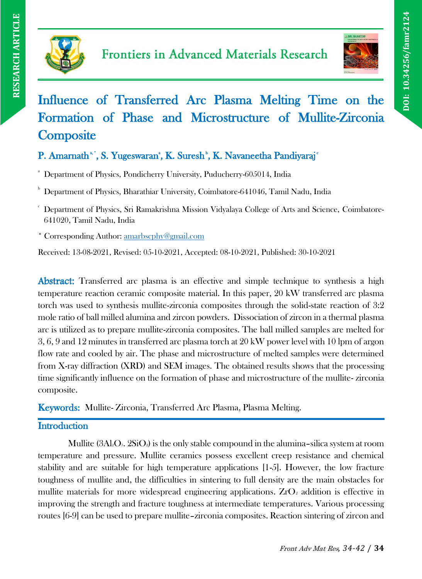



# Influence of Transferred Arc Plasma Melting Time on the Formation of Phase and Microstructure of Mullite-Zirconia **Composite**

# P. Amarnath\*', S. Yugeswaran<sup>\*</sup>, K. Suresh<sup>\*</sup>, K. Navaneetha Pandiyaraj<sup>c</sup>

<sup>a</sup> Department of Physics, Pondicherry University, Puducherry-605014, India

<sup>b</sup> Department of Physics, Bharathiar University, Coimbatore-641046, Tamil Nadu, India

<sup>c</sup> Department of Physics, Sri Ramakrishna Mission Vidyalaya College of Arts and Science, Coimbatore-641020, Tamil Nadu, India

\* Corresponding Author: [amarbscphy@gmail.com](mailto:amarbscphy@gmail.com)

Received: 13-08-2021, Revised: 05-10-2021, Accepted: 08-10-2021, Published: 30-10-2021

Abstract: Transferred arc plasma is an effective and simple technique to synthesis a high temperature reaction ceramic composite material. In this paper, 20 kW transferred arc plasma torch was used to synthesis mullite-zirconia composites through the solid-state reaction of 3:2 mole ratio of ball milled alumina and zircon powders. Dissociation of zircon in a thermal plasma arc is utilized as to prepare mullite-zirconia composites. The ball milled samples are melted for 3, 6, 9 and 12 minutes in transferred arc plasma torch at 20 kW power level with 10 lpm of argon flow rate and cooled by air. The phase and microstructure of melted samples were determined from X-ray diffraction (XRD) and SEM images. The obtained results shows that the processing time significantly influence on the formation of phase and microstructure of the mullite- zirconia composite.

Keywords: Mullite- Zirconia, Transferred Arc Plasma, Plasma Melting.

# **Introduction**

Mullite  $(3ALO<sub>3</sub>, 2SiO<sub>2</sub>)$  is the only stable compound in the alumina–silica system at room temperature and pressure. Mullite ceramics possess excellent creep resistance and chemical stability and are suitable for high temperature applications [1-5]. However, the low fracture toughness of mullite and, the difficulties in sintering to full density are the main obstacles for mullite materials for more widespread engineering applications.  $ZrO_2$  addition is effective in improving the strength and fracture toughness at intermediate temperatures. Various processing routes [6-9] can be used to prepare mullite–zirconia composites. Reaction sintering of zircon and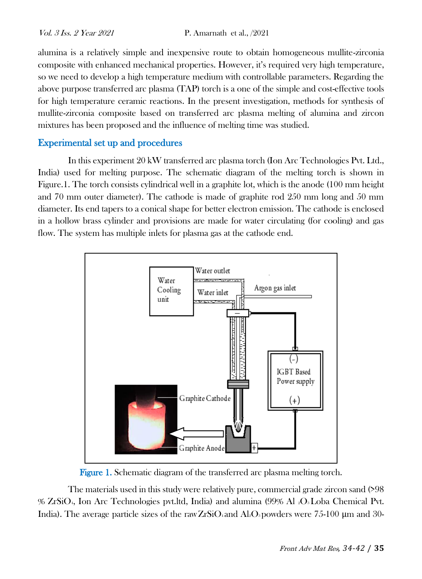alumina is a relatively simple and inexpensive route to obtain homogeneous mullite-zirconia composite with enhanced mechanical properties. However, it's required very high temperature, so we need to develop a high temperature medium with controllable parameters. Regarding the above purpose transferred arc plasma (TAP) torch is a one of the simple and cost-effective tools for high temperature ceramic reactions. In the present investigation, methods for synthesis of mullite-zirconia composite based on transferred arc plasma melting of alumina and zircon mixtures has been proposed and the influence of melting time was studied.

# Experimental set up and procedures

In this experiment 20 kW transferred arc plasma torch (Ion Arc Technologies Pvt. Ltd., India) used for melting purpose. The schematic diagram of the melting torch is shown in Figure.1. The torch consists cylindrical well in a graphite lot, which is the anode (100 mm height and 70 mm outer diameter). The cathode is made of graphite rod 250 mm long and 50 mm diameter. Its end tapers to a conical shape for better electron emission. The cathode is enclosed in a hollow brass cylinder and provisions are made for water circulating (for cooling) and gas flow. The system has multiple inlets for plasma gas at the cathode end.



Figure 1. Schematic diagram of the transferred arc plasma melting torch.

The materials used in this study were relatively pure, commercial grade zircon sand (>98 % ZrSiO4, Ion Arc Technologies pvt.ltd, India) and alumina (99% Al 2O3 Loba Chemical Pvt. India). The average particle sizes of the rawZrSiO4 and Al<sub>2</sub>O<sub>3</sub> powders were 75-100  $\mu$ m and 30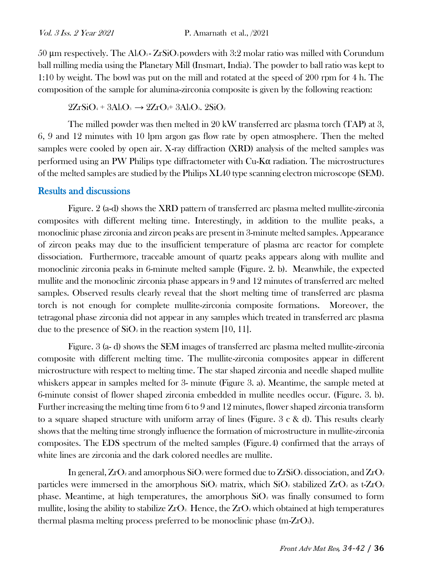50 μm respectively. The Al<sub>2</sub>O<sub>3</sub>-ZrSiO<sub>4</sub> powders with 3:2 molar ratio was milled with Corundum ball milling media using the Planetary Mill (Insmart, India). The powder to ball ratio was kept to 1:10 by weight. The bowl was put on the mill and rotated at the speed of 200 rpm for 4 h. The composition of the sample for alumina-zirconia composite is given by the following reaction:

#### $2ZrSiO_4 + 3Al_2O_3 \rightarrow 2ZrO_2 + 3Al_2O_3$ .  $2SiO_2$

The milled powder was then melted in 20 kW transferred arc plasma torch (TAP) at 3, 6, 9 and 12 minutes with 10 lpm argon gas flow rate by open atmosphere. Then the melted samples were cooled by open air. X-ray diffraction (XRD) analysis of the melted samples was performed using an PW Philips type diffractometer with  $Cu-K\alpha$  radiation. The microstructures of the melted samples are studied by the Philips XL40 type scanning electron microscope (SEM).

#### Results and discussions

Figure. 2 (a-d) shows the XRD pattern of transferred arc plasma melted mullite-zirconia composites with different melting time. Interestingly, in addition to the mullite peaks, a monoclinic phase zirconia and zircon peaks are present in 3-minute melted samples. Appearance of zircon peaks may due to the insufficient temperature of plasma arc reactor for complete dissociation. Furthermore, traceable amount of quartz peaks appears along with mullite and monoclinic zirconia peaks in 6-minute melted sample (Figure. 2. b). Meanwhile, the expected mullite and the monoclinic zirconia phase appears in 9 and 12 minutes of transferred arc melted samples. Observed results clearly reveal that the short melting time of transferred arc plasma torch is not enough for complete mullite-zirconia composite formations. Moreover, the tetragonal phase zirconia did not appear in any samples which treated in transferred arc plasma due to the presence of  $SiO<sub>2</sub>$  in the reaction system [10, 11].

Figure. 3 (a- d) shows the SEM images of transferred arc plasma melted mullite-zirconia composite with different melting time. The mullite-zirconia composites appear in different microstructure with respect to melting time. The star shaped zirconia and needle shaped mullite whiskers appear in samples melted for 3- minute (Figure 3. a). Meantime, the sample meted at 6-minute consist of flower shaped zirconia embedded in mullite needles occur. (Figure. 3. b). Further increasing the melting time from 6 to 9 and 12 minutes, flower shaped zirconia transform to a square shaped structure with uniform array of lines (Figure.  $3 \text{ c} \& \text{ d}$ ). This results clearly shows that the melting time strongly influence the formation of microstructure in mullite-zirconia composites. The EDS spectrum of the melted samples (Figure.4) confirmed that the arrays of white lines are zirconia and the dark colored needles are mullite.

In general,  $ZrO_2$  and amorphous  $SiO_2$  were formed due to  $ZrSiO_4$  dissociation, and  $ZrO_2$ particles were immersed in the amorphous  $SiO_2$  matrix, which  $SiO_2$  stabilized  $ZrO_2$  as t-ZrO<sub>2</sub> phase. Meantime, at high temperatures, the amorphous  $SiO<sub>2</sub>$  was finally consumed to form mullite, losing the ability to stabilize  $ZrO_2$ . Hence, the  $ZrO_2$  which obtained at high temperatures thermal plasma melting process preferred to be monoclinic phase  $(m-ZrO<sub>2</sub>)$ .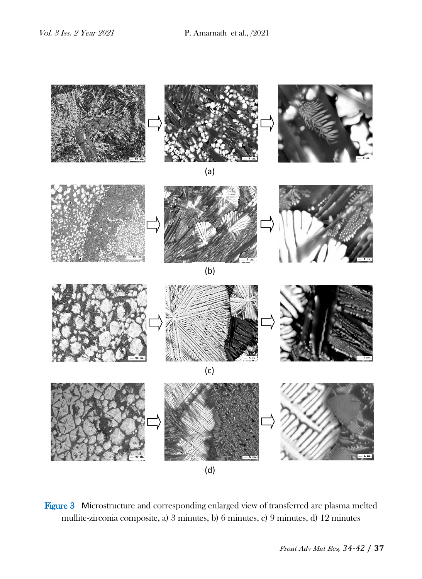

Figure 3 Microstructure and corresponding enlarged view of transferred arc plasma melted mullite-zirconia composite, a) 3 minutes, b) 6 minutes, c) 9 minutes, d) 12 minutes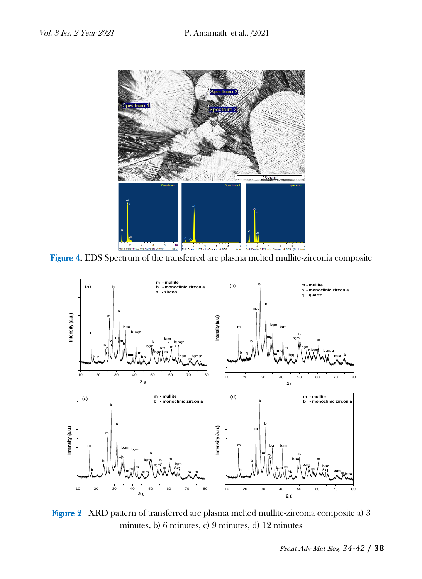

Figure 4. EDS Spectrum of the transferred arc plasma melted mullite-zirconia composite



Figure 2 XRD pattern of transferred arc plasma melted mullite-zirconia composite a) 3 minutes, b) 6 minutes, c) 9 minutes, d) 12 minutes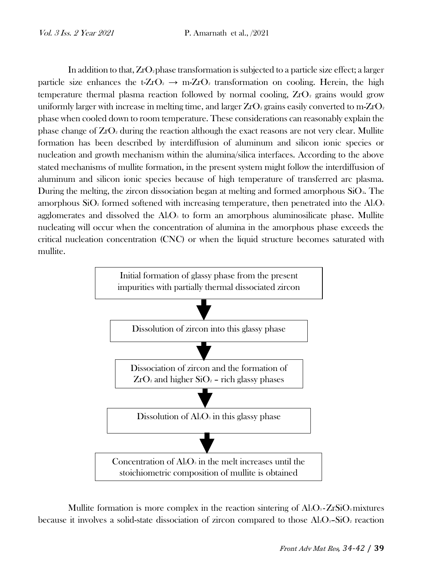In addition to that,  $ZrO_2$  phase transformation is subjected to a particle size effect; a larger particle size enhances the t-ZrO<sub>2</sub>  $\rightarrow$  m-ZrO<sub>2</sub> transformation on cooling. Herein, the high temperature thermal plasma reaction followed by normal cooling,  $ZrO<sub>2</sub>$  grains would grow uniformly larger with increase in melting time, and larger  $ZrO<sub>2</sub>$  grains easily converted to m- $ZrO<sub>2</sub>$ phase when cooled down to room temperature. These considerations can reasonably explain the phase change of  $ZrO<sub>2</sub>$  during the reaction although the exact reasons are not very clear. Mullite formation has been described by interdiffusion of aluminum and silicon ionic species or nucleation and growth mechanism within the alumina/silica interfaces. According to the above stated mechanisms of mullite formation, in the present system might follow the interdiffusion of aluminum and silicon ionic species because of high temperature of transferred arc plasma. During the melting, the zircon dissociation began at melting and formed amorphous  $SiO<sub>2</sub>$ . The amorphous  $SiO<sub>2</sub>$  formed softened with increasing temperature, then penetrated into the Al<sub>2</sub>O<sub>3</sub> agglomerates and dissolved the  $Al_2O_3$  to form an amorphous aluminosilicate phase. Mullite nucleating will occur when the concentration of alumina in the amorphous phase exceeds the critical nucleation concentration (CNC) or when the liquid structure becomes saturated with mullite.



Mullite formation is more complex in the reaction sintering of  $Al_2O_3$ -ZrSiO<sub>4</sub> mixtures because it involves a solid-state dissociation of zircon compared to those  $Al_2O_3-SiO_2$  reaction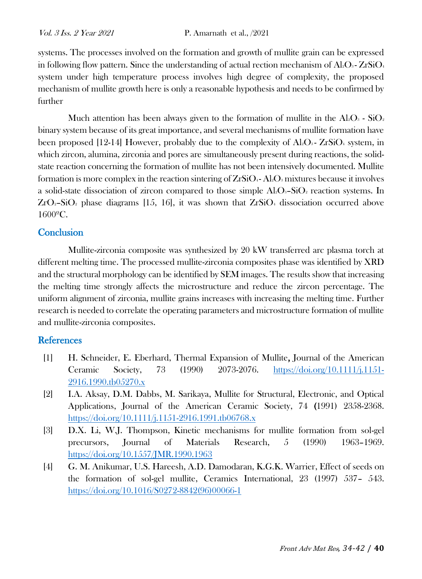systems. The processes involved on the formation and growth of mullite grain can be expressed in following flow pattern. Since the understanding of actual rection mechanism of  $Al_2O_3$ - ZrSiO<sub>4</sub> system under high temperature process involves high degree of complexity, the proposed mechanism of mullite growth here is only a reasonable hypothesis and needs to be confirmed by further

Much attention has been always given to the formation of mullite in the  $Al_2O_3$  -  $SiO_2$ binary system because of its great importance, and several mechanisms of mullite formation have been proposed [12-14] However, probably due to the complexity of  $Al_2O_3$ - ZrSiO<sub>4</sub> system, in which zircon, alumina, zirconia and pores are simultaneously present during reactions, the solidstate reaction concerning the formation of mullite has not been intensively documented. Mullite formation is more complex in the reaction sintering of  $ZrSiO<sub>4</sub>$ -Al $O<sub>3</sub>$  mixtures because it involves a solid-state dissociation of zircon compared to those simple  $Al_2O_3-SiO_2$  reaction systems. In  $ZrO<sub>2</sub>$ –SiO<sub>2</sub> phase diagrams [15, 16], it was shown that  $ZrSiO<sub>4</sub>$  dissociation occurred above 1600ºC.

# **Conclusion**

Mullite-zirconia composite was synthesized by 20 kW transferred arc plasma torch at different melting time. The processed mullite-zirconia composites phase was identified by XRD and the structural morphology can be identified by SEM images. The results show that increasing the melting time strongly affects the microstructure and reduce the zircon percentage. The uniform alignment of zirconia, mullite grains increases with increasing the melting time. Further research is needed to correlate the operating parameters and microstructure formation of mullite and mullite-zirconia composites.

### **References**

- [1] H. Schneider, E. Eberhard, Thermal Expansion of Mullite, Journal of the American Ceramic Society, 73 (1990) 2073-2076. [https://doi.org/10.1111/j.1151-](https://doi.org/10.1111/j.1151-2916.1990.tb05270.x) [2916.1990.tb05270.x](https://doi.org/10.1111/j.1151-2916.1990.tb05270.x)
- [2] I.A. Aksay, D.M. Dabbs, M. Sarikaya, Mullite for Structural, Electronic, and Optical Applications, Journal of the American Ceramic Society, 74 (1991) 2358-2368. <https://doi.org/10.1111/j.1151-2916.1991.tb06768.x>
- [3] D.X. Li, W.J. Thompson, Kinetic mechanisms for mullite formation from sol-gel precursors, Journal of Materials Research, 5 (1990) 1963–1969. <https://doi.org/10.1557/JMR.1990.1963>
- [4] G. M. Anikumar, U.S. Hareesh, A.D. Damodaran, K.G.K. Warrier, Effect of seeds on the formation of sol-gel mullite, Ceramics International, 23 (1997) 537– 543. [https://doi.org/10.1016/S0272-8842\(96\)00066-1](https://doi.org/10.1016/S0272-8842(96)00066-1)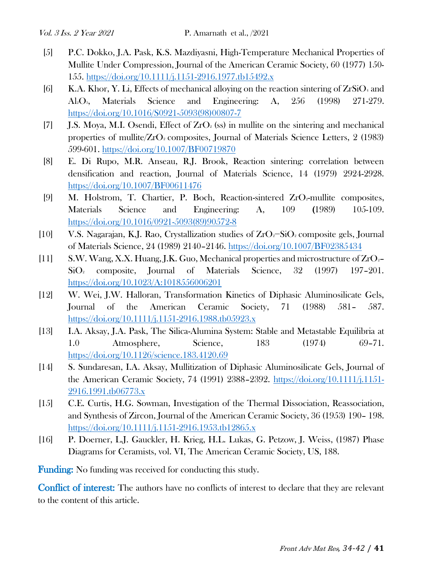- [5] P.C. Dokko, J.A. Pask, K.S. Mazdiyasni, High-Temperature Mechanical Properties of Mullite Under Compression, Journal of the American Ceramic Society, 60 (1977) 150- 155.<https://doi.org/10.1111/j.1151-2916.1977.tb15492.x>
- [6] K.A. Khor, Y. Li, Effects of mechanical alloying on the reaction sintering of  $ZrSiO_4$  and Al2O3, Materials Science and Engineering: A, 256 (1998) 271-279. [https://doi.org/10.1016/S0921-5093\(98\)00807-7](https://doi.org/10.1016/S0921-5093(98)00807-7)
- [7] **J.S. Moya, M.I.** Osendi, Effect of  $ZrO<sub>2</sub>$  (ss) in mullite on the sintering and mechanical properties of mullite/ $ZrO<sub>2</sub>$  composites, Journal of Materials Science Letters, 2 (1983) 599-601.<https://doi.org/10.1007/BF00719870>
- [8] E. Di Rupo, M.R. Anseau, R.J. Brook, Reaction sintering: correlation between densification and reaction, Journal of Materials Science, 14 (1979) 2924-2928. <https://doi.org/10.1007/BF00611476>
- [9] M. Holstrom, T. Chartier, P. Boch, Reaction-sintered ZrO2-mullite composites, Materials Science and Engineering: A, 109 (1989) 105-109. [https://doi.org/10.1016/0921-5093\(89\)90572-8](https://doi.org/10.1016/0921-5093(89)90572-8)
- [10] V.S. Nagarajan, K.J. Rao, Crystallization studies of ZrO2−SiO<sup>2</sup> composite gels, Journal of Materials Science, 24 (1989) 2140–2146.<https://doi.org/10.1007/BF02385434>
- [11] S.W. Wang, X.X. Huang, J.K. Guo, Mechanical properties and microstructure of ZrO2– SiO<sup>2</sup> composite, Journal of Materials Science, 32 (1997) 197–201. <https://doi.org/10.1023/A:1018556006201>
- [12] W. Wei, J.W. Halloran, Transformation Kinetics of Diphasic Aluminosilicate Gels, Journal of the American Ceramic Society, 71 (1988) 581– 587. <https://doi.org/10.1111/j.1151-2916.1988.tb05923.x>
- [13] I.A. Aksay, J.A. Pask, The Silica-Alumina System: Stable and Metastable Equilibria at 1.0 Atmosphere, Science, 183 (1974) 69–71. <https://doi.org/10.1126/science.183.4120.69>
- [14] S. Sundaresan, I.A. Aksay, Mullitization of Diphasic Aluminosilicate Gels, Journal of the American Ceramic Society, 74 (1991) 2388–2392. [https://doi.org/10.1111/j.1151-](https://doi.org/10.1111/j.1151-2916.1991.tb06773.x) [2916.1991.tb06773.x](https://doi.org/10.1111/j.1151-2916.1991.tb06773.x)
- [15] C.E. Curtis, H.G. Sowman, Investigation of the Thermal Dissociation, Reassociation, and Synthesis of Zircon, Journal of the American Ceramic Society, 36 (1953) 190– 198. <https://doi.org/10.1111/j.1151-2916.1953.tb12865.x>
- [16] P. Doerner, L.J. Gauckler, H. Krieg, H.L. Lukas, G. Petzow, J. Weiss, (1987) Phase Diagrams for Ceramists, vol. VI, The American Ceramic Society, US, 188.

Funding: No funding was received for conducting this study.

Conflict of interest: The authors have no conflicts of interest to declare that they are relevant to the content of this article.